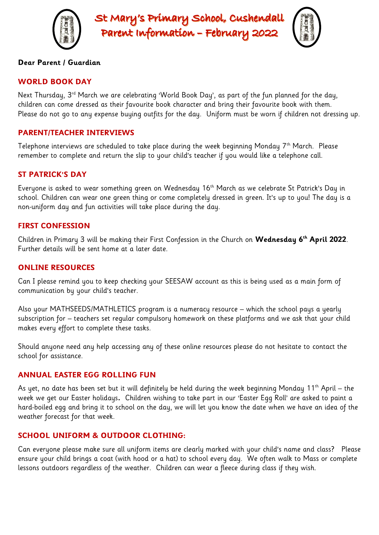

St Mary's Primary School, Cushendall Parent Information - February 2022



## **Dear Parent / Guardian**

## **WORLD BOOK DAY**

Next Thursday, 3<sup>rd</sup> March we are celebrating 'World Book Day', as part of the fun planned for the day, children can come dressed as their favourite book character and bring their favourite book with them. Please do not go to any expense buying outfits for the day. Uniform must be worn if children not dressing up.

## **PARENT/TEACHER INTERVIEWS**

Telephone interviews are scheduled to take place during the week beginning Monday 7<sup>th</sup> March. Please remember to complete and return the slip to your child's teacher if you would like a telephone call.

# **ST PATRICK'S DAY**

Everyone is asked to wear something green on Wednesday 16<sup>th</sup> March as we celebrate St Patrick's Day in school. Children can wear one green thing or come completely dressed in green. It's up to you! The day is a non-uniform day and fun activities will take place during the day.

## **FIRST CONFESSION**

Children in Primary 3 will be making their First Confession in the Church on **Wednesday 6th April 2022**. Further details will be sent home at a later date.

## **ONLINE RESOURCES**

Can I please remind you to keep checking your SEESAW account as this is being used as a main form of communication by your child's teacher.

Also your MATHSEEDS/MATHLETICS program is a numeracy resource – which the school pays a yearly subscription for – teachers set regular compulsory homework on these platforms and we ask that your child makes every effort to complete these tasks.

Should anyone need any help accessing any of these online resources please do not hesitate to contact the school for assistance.

#### **ANNUAL EASTER EGG ROLLING FUN**

As yet, no date has been set but it will definitely be held during the week beginning Monday 11<sup>th</sup> April – the week we get our Easter holidays**.** Children wishing to take part in our 'Easter Egg Roll' are asked to paint a hard-boiled egg and bring it to school on the day, we will let you know the date when we have an idea of the weather forecast for that week.

# **SCHOOL UNIFORM & OUTDOOR CLOTHING:**

Can everyone please make sure all uniform items are clearly marked with your child's name and class? Please ensure your child brings a coat (with hood or a hat) to school every day. We often walk to Mass or complete lessons outdoors regardless of the weather. Children can wear a fleece during class if they wish.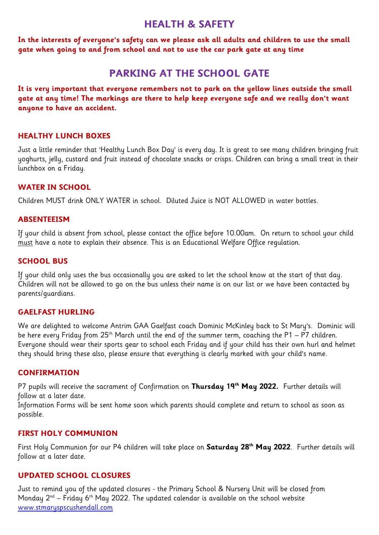# **HEALTH & SAFETY**

**In the interests of everyone's safety can we please ask all adults and children to use the small gate when going to and from school and not to use the car park gate at any time**

# **PARKING AT THE SCHOOL GATE**

**It is very important that everyone remembers not to park on the yellow lines outside the small gate at any time! The markings are there to help keep everyone safe and we really don't want anyone to have an accident.**

# **HEALTHY LUNCH BOXES**

Just a little reminder that 'Healthy Lunch Box Day' is every day. It is great to see many children bringing fruit yoghurts, jelly, custard and fruit instead of chocolate snacks or crisps. Children can bring a small treat in their lunchbox on a Friday.

## **WATER IN SCHOOL**

Children MUST drink ONLY WATER in school. Diluted Juice is NOT ALLOWED in water bottles.

## **ABSENTEEISM**

If your child is absent from school, please contact the office before 10.00am. On return to school your child must have a note to explain their absence. This is an Educational Welfare Office regulation.

## **SCHOOL BUS**

If your child only uses the bus occasionally you are asked to let the school know at the start of that day. Children will not be allowed to go on the bus unless their name is on our list or we have been contacted by parents/guardians.

# **GAELFAST HURLING**

We are delighted to welcome Antrim GAA Gaelfast coach Dominic McKinley back to St Mary's. Dominic will be here every Friday from  $25<sup>th</sup>$  March until the end of the summer term, coaching the P1 – P7 children. Everyone should wear their sports gear to school each Friday and if your child has their own hurl and helmet they should bring these also, please ensure that everything is clearly marked with your child's name.

#### **CONFIRMATION**

P7 pupils will receive the sacrament of Confirmation on **Thursday 19th May 2022.** Further details will follow at a later date.

Information Forms will be sent home soon which parents should complete and return to school as soon as possible.

# **FIRST HOLY COMMUNION**

First Holy Communion for our P4 children will take place on **Saturday 28 th May 2022**. Further details will follow at a later date.

# **UPDATED SCHOOL CLOSURES**

Just to remind you of the updated closures - the Primary School & Nursery Unit will be closed from Monday  $2^{nd}$  – Friday 6<sup>th</sup> May 2022. The updated calendar is available on the school website [www.stmaryspscushendall.com](http://www.stmaryspscushendall.com/)